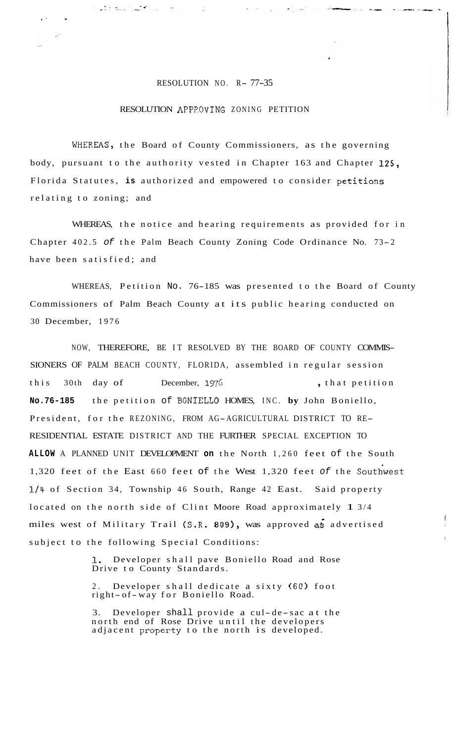## RESOLUTION NO. R- 77-35

 $\blacksquare$ 

بالتنافرتش استعادتني باد

## RESOLUTION APPP.OVING ZONING PETITION

WHEREAS, the Board of County Commissioners, as the governing body, pursuant to the authority vested in Chapter 163 and Chapter **125,**  Florida Statutes, **is** authorized and empowered to consider petitions relating to zoning; and

WHEREAS, the notice and hearing requirements as provided for in Chapter 402.5 of the Palm Beach County Zoning Code Ordinance No. 73-2 have been satisfied; and

WHEREAS, Petition No. 76-185 was presented to the Board of County Commissioners of Palm Beach County at its public hearing conducted on 30 December, 1976

NOW, THEREFORE, BE IT RESOLVED BY THE BOARD OF COUNTY COMMIS-SIONERS OF PALM BEACH COUNTY, FLORIDA, assembled in regular session this 30th day of December, 1976 , that petition **No.76-185** the petition of BONIELLO HOMES, INC. **by** John Boniello, President, for the REZONING, FROM AG-AGRICULTURAL DISTRICT TO RE-RESIDENTIAL ESTATE DISTRICT AND THE FURTHER SPECIAL EXCEPTION TO **ALLOW** A PLANNED UNIT DEVELOPMENT **on** the North 1,260 feet of the South 1,320 feet of the East 660 feet of the West 1,320 feet *of* the Soutiwest **1/11** of Section 34, Township 46 South, Range 42 East. Said property located on the north side of Clint Moore Road approximately 1 3/4 miles west of Military Trail (S.R. **809),** was approved a6 advertised subject to the following Special Conditions:

> **1,** Developer shall pave Boniello Road and Rose Drive to County Standards.

I

2. Developer shall dedicate a sixty (60) foot right- of-way for Boniello Road.

3. Developer shall provide a cul-de-sac at the north end of Rose Drive until the developers adjacent property to the north is developed.